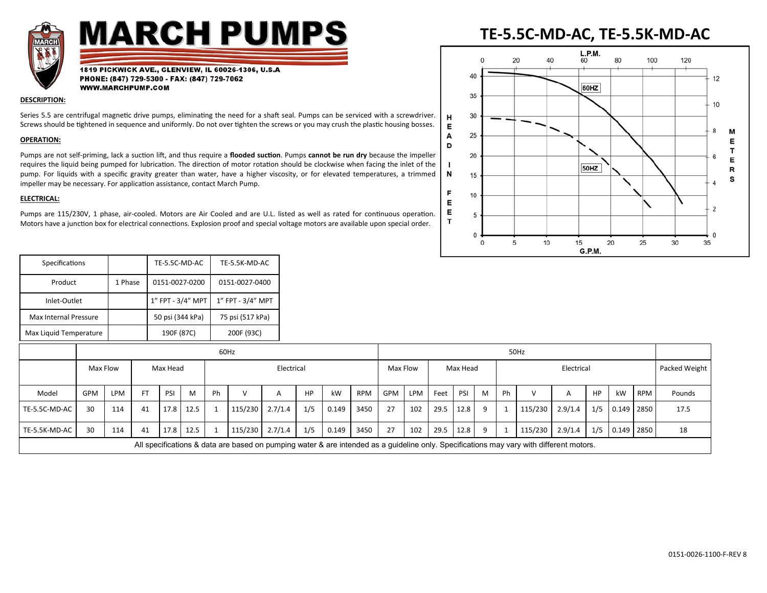

# **MARCH PUMPS**

1819 PICKWICK AVE., GLENVIEW, IL 60026-1306, U.S.A PHONE: (847) 729-5300 - FAX: (847) 729-7062 WWW.MARCHPUMP.COM

## **DESCRIPTION:**

Series 5.5 are centrifugal magnetic drive pumps, eliminating the need for a shaft seal. Pumps can be serviced with a screwdriver. Screws should be tightened in sequence and uniformly. Do not over tighten the screws or you may crush the plastic housing bosses.

### **OPERATION:**

Pumps are not self-priming, lack a suction lift, and thus require a **flooded suction**. Pumps **cannot be run dry** because the impeller requires the liquid being pumped for lubrication. The direction of motor rotation should be clockwise when facing the inlet of the pump. For liquids with a specific gravity greater than water, have a higher viscosity, or for elevated temperatures, a trimmed impeller may be necessary. For application assistance, contact March Pump.

## **ELECTRICAL:**

Pumps are 115/230V, 1 phase, air-cooled. Motors are Air Cooled and are U.L. listed as well as rated for continuous operation. Motors have a junction box for electrical connections. Explosion proof and special voltage motors are available upon special order.

#### **TE-5.5C-MD-AC, TE-5.5K-MD-AC** L.P.M.  $\Omega$ 20 40 60 80 100 120 40 12 60HZ 35 10 30  $H$ E 8 М 25 A Е D т 20 6 E  $\blacksquare$ 50HZ R N 15 s  $\overline{4}$ F 10 E  $\overline{2}$ E 5  $\mathbf{T}$  $\mathbf C$  $\overline{0}$ 5 10 15 20 25  $\Omega$ 30 35

G.P.M.

| Specifications         |         | TE-5.5C-MD-AC     | TE-5.5K-MD-AC     |
|------------------------|---------|-------------------|-------------------|
| Product                | 1 Phase | 0151-0027-0200    | 0151-0027-0400    |
| Inlet-Outlet           |         | 1" FPT - 3/4" MPT | 1" FPT - 3/4" MPT |
| Max Internal Pressure  |         | 50 psi (344 kPa)  | 75 psi (517 kPa)  |
| Max Liquid Temperature |         | 190F (87C)        | 200F (93C)        |

|                                                                                                                                         | 60Hz       |            |           |          |           |    |         |            |     |       |            | 50Hz       |     |      |          |   |    |                 |            |     |            |            |               |
|-----------------------------------------------------------------------------------------------------------------------------------------|------------|------------|-----------|----------|-----------|----|---------|------------|-----|-------|------------|------------|-----|------|----------|---|----|-----------------|------------|-----|------------|------------|---------------|
|                                                                                                                                         | Max Flow   |            |           | Max Head |           |    |         | Electrical |     |       |            | Max Flow   |     |      | Max Head |   |    |                 | Electrical |     |            |            | Packed Weight |
| Model                                                                                                                                   | <b>GPM</b> | <b>LPM</b> | <b>FT</b> | PSI      | M         | Ph | $\vee$  |            | HP  | kW    | <b>RPM</b> | <b>GPM</b> | LPM | Feet | PSI      | M | Ph |                 | А          | HP  | kW         | <b>RPM</b> | Pounds        |
| TE-5.5C-MD-AC                                                                                                                           | 30         | 114        | 41        | 17.8     | 12.5      |    | 115/230 | 2.7/1.4    | 1/5 | 0.149 | 3450       | 27         | 102 | 29.5 | 12.8     | 9 |    | 115/230         | 2.9/1.4    | 1/5 | 0.149 2850 |            | 17.5          |
| TE-5.5K-MD-AC                                                                                                                           | 30         | 114        | 41        |          | 17.8 12.5 |    | 115/230 | 2.7/1.4    | 1/5 | 0.149 | 3450       | 27         | 102 | 29.5 | 12.8     | 9 |    | 115/230 2.9/1.4 |            | 1/5 | 0.149 2850 |            | 18            |
| All specifications & data are based on pumping water & are intended as a guideline only. Specifications may vary with different motors. |            |            |           |          |           |    |         |            |     |       |            |            |     |      |          |   |    |                 |            |     |            |            |               |